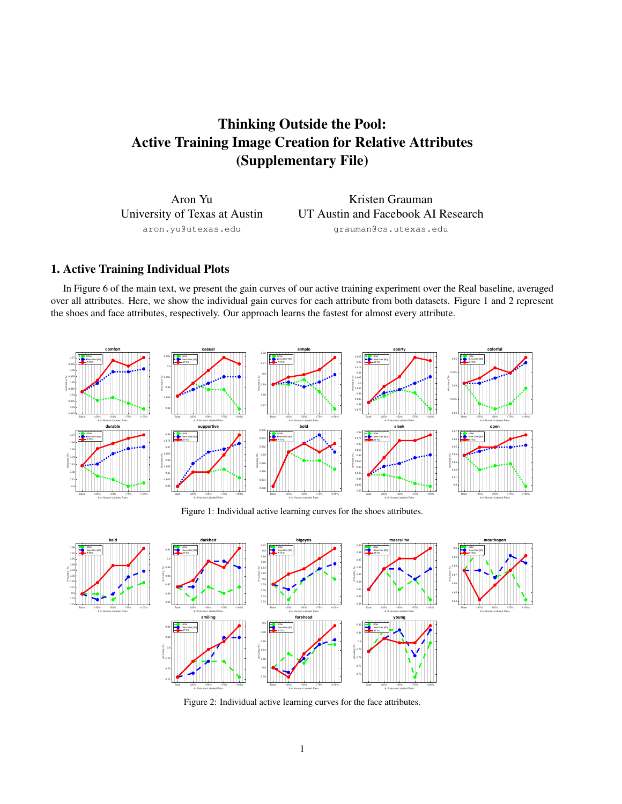# Thinking Outside the Pool: Active Training Image Creation for Relative Attributes (Supplementary File)

Aron Yu University of Texas at Austin aron.yu@utexas.edu

Kristen Grauman UT Austin and Facebook AI Research grauman@cs.utexas.edu

## 1. Active Training Individual Plots

Accuracy (%)

In Figure 6 of the main text, we present the gain curves of our active training experiment over the Real baseline, averaged over all attributes. Here, we show the individual gain curves for each attribute from both datasets. Figure 1 and 2 represent the shoes and face attributes, respectively. Our approach learns the fastest for almost every attribute.



Figure 1: Individual active learning curves for the shoes attributes.



Figure 2: Individual active learning curves for the face attributes.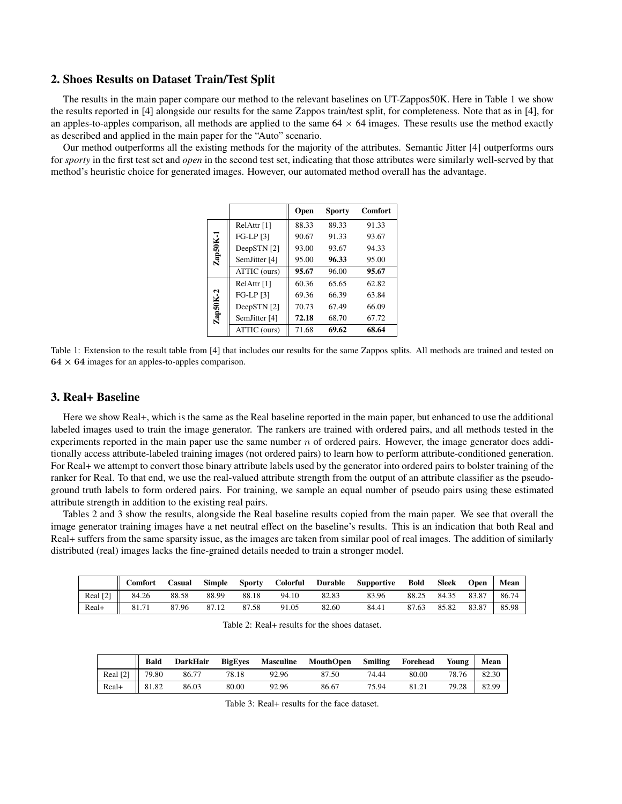#### 2. Shoes Results on Dataset Train/Test Split

The results in the main paper compare our method to the relevant baselines on UT-Zappos50K. Here in Table 1 we show the results reported in [4] alongside our results for the same Zappos train/test split, for completeness. Note that as in [4], for an apples-to-apples comparison, all methods are applied to the same  $64 \times 64$  images. These results use the method exactly as described and applied in the main paper for the "Auto" scenario.

Our method outperforms all the existing methods for the majority of the attributes. Semantic Jitter [4] outperforms ours for *sporty* in the first test set and *open* in the second test set, indicating that those attributes were similarly well-served by that method's heuristic choice for generated images. However, our automated method overall has the advantage.

|            |               | Open  | <b>Sporty</b> | <b>Comfort</b> |
|------------|---------------|-------|---------------|----------------|
|            | RelAttr $[1]$ | 88.33 | 89.33         | 91.33          |
|            | $FG-LP[3]$    | 90.67 | 91.33         | 93.67          |
|            | DeepSTN [2]   | 93.00 | 93.67         | 94.33          |
| $Zap50K-1$ | SemJitter [4] | 95.00 | 96.33         | 95.00          |
|            | ATTIC (ours)  | 95.67 | 96.00         | 95.67          |
|            | RelAttr [1]   | 60.36 | 65.65         | 62.82          |
|            | FG-LP [3]     | 69.36 | 66.39         | 63.84          |
| $Zap50K-2$ | DeepSTN [2]   | 70.73 | 67.49         | 66.09          |
|            | SemJitter [4] | 72.18 | 68.70         | 67.72          |
|            | ATTIC (ours)  | 71.68 | 69.62         | 68.64          |

Table 1: Extension to the result table from [4] that includes our results for the same Zappos splits. All methods are trained and tested on  $64 \times 64$  images for an apples-to-apples comparison.

#### 3. Real+ Baseline

Here we show Real+, which is the same as the Real baseline reported in the main paper, but enhanced to use the additional labeled images used to train the image generator. The rankers are trained with ordered pairs, and all methods tested in the experiments reported in the main paper use the same number  $n$  of ordered pairs. However, the image generator does additionally access attribute-labeled training images (not ordered pairs) to learn how to perform attribute-conditioned generation. For Real+ we attempt to convert those binary attribute labels used by the generator into ordered pairs to bolster training of the ranker for Real. To that end, we use the real-valued attribute strength from the output of an attribute classifier as the pseudoground truth labels to form ordered pairs. For training, we sample an equal number of pseudo pairs using these estimated attribute strength in addition to the existing real pairs.

Tables 2 and 3 show the results, alongside the Real baseline results copied from the main paper. We see that overall the image generator training images have a net neutral effect on the baseline's results. This is an indication that both Real and Real+ suffers from the same sparsity issue, as the images are taken from similar pool of real images. The addition of similarly distributed (real) images lacks the fine-grained details needed to train a stronger model.

|          | Comfort | Casual | <b>Simple</b> | <b>Sporty</b> | Colorful | Durable | Supportive | Bold  | Sleek | <b>Open</b> | Mean  |
|----------|---------|--------|---------------|---------------|----------|---------|------------|-------|-------|-------------|-------|
| Real [2] | 84.26   | 88.58  | 88.99         | 88.18         | 94.10    | 82.83   | 83.96      | 88.25 | 84.35 | 83.87       | 86.74 |
| Real+    | 81.71   | 87.96  | 87.12         | 87.58         | 91.05    | 82.60   | 84.41      | 87.63 | 85.82 | 83.87       | 85.98 |

Table 2: Real+ results for the shoes dataset.

|          | <b>Bald</b> | <b>DarkHair</b> | <b>BigEves</b> | Masculine | MouthOpen Smiling Forehead |       |       | Young | Mean  |
|----------|-------------|-----------------|----------------|-----------|----------------------------|-------|-------|-------|-------|
| Real [2] | 79.80       | 86.77           | 78.18          | 92.96     | 87.50                      | 74.44 | 80.00 | 78.76 | 82.30 |
| Real+    | 81.82       | 86.03           | 80.00          | 92.96     | 86.67                      | 75.94 | 81.21 | 79.28 | 82.99 |

Table 3: Real+ results for the face dataset.